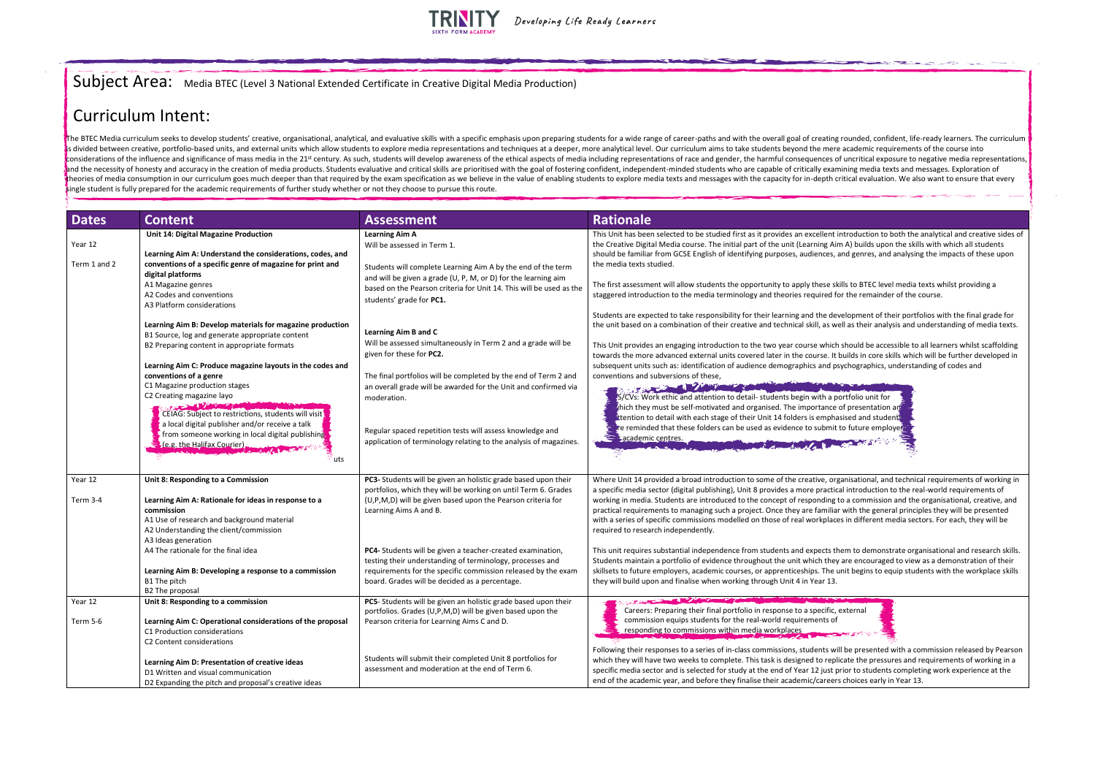## Subject Area: Media BTEC (Level 3 National Extended Certificate in Creative Digital Media Production)



will be presented with a commission released by Pearson eplicate the pressures and requirements of working in a st prior to students completing work experience at the eers choices early in Year 13.

The BTEC Media curriculum seeks to develop students' creative, organisational, analytical, and evaluative skills with a specific emphasis upon preparing students for a wide range of career-paths and with the overall goal o is divided between creative, portfolio-based units, and external units which allow students to explore media representations and techniques at a deeper, more analytical level. Our curriculum aims to take students beyond th considerations of the influence and significance of mass media in the 21<sup>st</sup> century. As such, students will develop awareness of the ethical aspects of media including representations of race and gender, the harmful conse and the necessity of honesty and accuracy in the creation of media products. Students evaluative and critical skills are prioritised with the goal of fostering confident, independent-minded students who are capable of crit theories of media consumption in our curriculum goes much deeper than that required by the exam specification as we believe in the value of enabling students to explore media texts and messages with the capacity for in-dep single student is fully prepared for the academic requirements of further study whether or not they choose to pursue this route.

| <b>Dates</b>            | <b>Content</b>                                                                                                                                                                                                                                                                                                                                                                                                                                                                                                         | <b>Assessment</b>                                                                                                                                                                                                                                                                                                                                                                                                                                                       | <b>Rationale</b>                                                                                                                                                                                                                                                                                                                                                                                                                                                                                                                                                                                                                                                                                                                                         |
|-------------------------|------------------------------------------------------------------------------------------------------------------------------------------------------------------------------------------------------------------------------------------------------------------------------------------------------------------------------------------------------------------------------------------------------------------------------------------------------------------------------------------------------------------------|-------------------------------------------------------------------------------------------------------------------------------------------------------------------------------------------------------------------------------------------------------------------------------------------------------------------------------------------------------------------------------------------------------------------------------------------------------------------------|----------------------------------------------------------------------------------------------------------------------------------------------------------------------------------------------------------------------------------------------------------------------------------------------------------------------------------------------------------------------------------------------------------------------------------------------------------------------------------------------------------------------------------------------------------------------------------------------------------------------------------------------------------------------------------------------------------------------------------------------------------|
| Year 12<br>Term 1 and 2 | Unit 14: Digital Magazine Production<br>Learning Aim A: Understand the considerations, codes, and<br>conventions of a specific genre of magazine for print and<br>digital platforms<br>A1 Magazine genres<br>A2 Codes and conventions<br>A3 Platform considerations                                                                                                                                                                                                                                                    | <b>Learning Aim A</b><br>Will be assessed in Term 1.<br>Students will complete Learning Aim A by the end of the term<br>and will be given a grade (U, P, M, or D) for the learning aim<br>based on the Pearson criteria for Unit 14. This will be used as the<br>students' grade for PC1.                                                                                                                                                                               | This Unit has been selected to be studied first as it provides an excellent i<br>the Creative Digital Media course. The initial part of the unit (Learning Air<br>should be familiar from GCSE English of identifying purposes, audiences, a<br>the media texts studied.<br>The first assessment will allow students the opportunity to apply these sk<br>staggered introduction to the media terminology and theories required fo<br>Students are expected to take responsibility for their learning and the dev                                                                                                                                                                                                                                        |
|                         | Learning Aim B: Develop materials for magazine production<br>B1 Source, log and generate appropriate content<br>B2 Preparing content in appropriate formats<br>Learning Aim C: Produce magazine layouts in the codes and<br>conventions of a genre<br>C1 Magazine production stages<br>C2 Creating magazine layo<br>CEIAG: Subject to restrictions, students will visit<br>a local digital publisher and/or receive a talk<br>from someone working in local digital publishing<br>I (e.g. the Halifax Courier).<br>uts | Learning Aim B and C<br>Will be assessed simultaneously in Term 2 and a grade will be<br>given for these for PC2.<br>The final portfolios will be completed by the end of Term 2 and<br>an overall grade will be awarded for the Unit and confirmed via<br>moderation.<br>Regular spaced repetition tests will assess knowledge and<br>application of terminology relating to the analysis of magazines.                                                                | the unit based on a combination of their creative and technical skill, as w<br>This Unit provides an engaging introduction to the two year course which<br>towards the more advanced external units covered later in the course. It<br>subsequent units such as: identification of audience demographics and ps<br>conventions and subversions of these,<br>STREET TO PARTIES<br>S/CVs: Work ethic and attention to detail- students begin with a p<br>thich they must be self-motivated and organised. The importance<br>ttention to detail with each stage of their Unit 14 folders is empha<br>The reminded that these folders can be used as evidence to submit<br>academic centres.                                                                 |
| Year 12<br>Term 3-4     | Unit 8: Responding to a Commission<br>Learning Aim A: Rationale for ideas in response to a<br>commission<br>A1 Use of research and background material<br>A2 Understanding the client/commission<br>A3 Ideas generation<br>A4 The rationale for the final idea<br>Learning Aim B: Developing a response to a commission<br>B1 The pitch<br><b>B2 The proposal</b>                                                                                                                                                      | PC3- Students will be given an holistic grade based upon their<br>portfolios, which they will be working on until Term 6. Grades<br>(U,P,M,D) will be given based upon the Pearson criteria for<br>Learning Aims A and B.<br>PC4- Students will be given a teacher-created examination,<br>testing their understanding of terminology, processes and<br>requirements for the specific commission released by the exam<br>board. Grades will be decided as a percentage. | Where Unit 14 provided a broad introduction to some of the creative, org<br>a specific media sector (digital publishing), Unit 8 provides a more practic<br>working in media. Students are introduced to the concept of responding t<br>practical requirements to managing such a project. Once they are familiar<br>with a series of specific commissions modelled on those of real workplace<br>required to research independently.<br>This unit requires substantial independence from students and expects th<br>Students maintain a portfolio of evidence throughout the unit which they<br>skillsets to future employers, academic courses, or apprenticeships. The u<br>they will build upon and finalise when working through Unit 4 in Year 13. |
| Year 12<br>Term 5-6     | Unit 8: Responding to a commission<br>Learning Aim C: Operational considerations of the proposal<br>C1 Production considerations<br>C2 Content considerations<br>Learning Aim D: Presentation of creative ideas<br>D1 Written and visual communication<br>D2 Expanding the pitch and proposal's creative ideas                                                                                                                                                                                                         | PC5- Students will be given an holistic grade based upon their<br>portfolios. Grades (U,P,M,D) will be given based upon the<br>Pearson criteria for Learning Aims C and D.<br>Students will submit their completed Unit 8 portfolios for<br>assessment and moderation at the end of Term 6.                                                                                                                                                                             | Careers: Preparing their final portfolio in response to a specific,<br>commission equips students for the real-world requirements of<br>responding to commissions within media workplaces<br>Following their responses to a series of in-class commissions, students wi<br>which they will have two weeks to complete. This task is designed to repl<br>specific media sector and is selected for study at the end of Year 12 just p<br>end of the academic year, and before they finalise their academic/careers                                                                                                                                                                                                                                        |

nt introduction to both the analytical and creative sides of Aim A) builds upon the skills with which all students es, and genres, and analysing the impacts of these upon

skills to BTEC level media texts whilst providing a d for the remainder of the course.

development of their portfolios with the final grade for s well as their analysis and understanding of media texts.

iich should be accessible to all learners whilst scaffolding . It builds in core skills which will be further developed in psychographics, understanding of codes and

a portfolio unit for nce of presentation and phasised and student nit to future employe

organisational, and technical requirements of working in ctical introduction to the real-world requirements of ng to a commission and the organisational, creative, and iliar with the general principles they will be presented laces in different media sectors. For each, they will be

them to demonstrate organisational and research skills. hey are encouraged to view as a demonstration of their ne unit begins to equip students with the workplace skills.

## Curriculum Intent: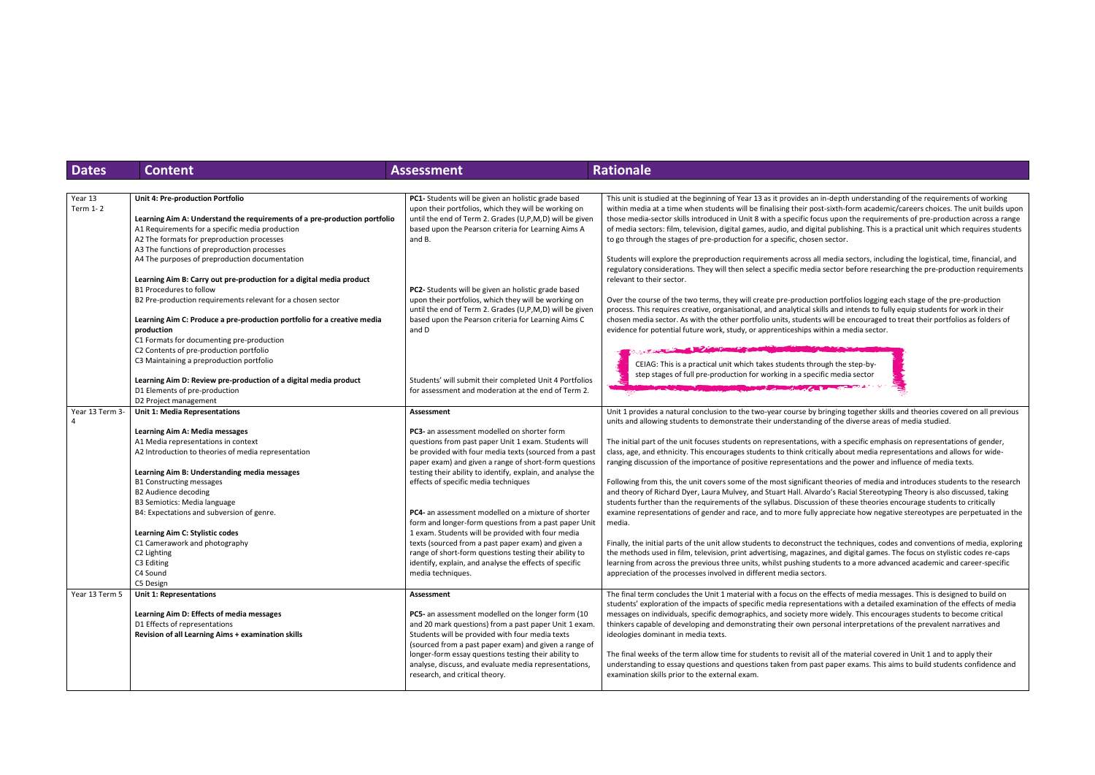| <b>Dates</b>        | <b>Content</b>                                                            | <b>Assessment</b>                                                                                           | <b>Rationale</b>                                                                                                                                          |
|---------------------|---------------------------------------------------------------------------|-------------------------------------------------------------------------------------------------------------|-----------------------------------------------------------------------------------------------------------------------------------------------------------|
|                     |                                                                           |                                                                                                             |                                                                                                                                                           |
| Year 13<br>Term 1-2 | Unit 4: Pre-production Portfolio                                          | PC1- Students will be given an holistic grade based<br>upon their portfolios, which they will be working on | This unit is studied at the beginning of Year 13 as it provides an in-depth<br>within media at a time when students will be finalising their post-sixth-f |
|                     | Learning Aim A: Understand the requirements of a pre-production portfolio | until the end of Term 2. Grades (U,P,M,D) will be given                                                     | those media-sector skills introduced in Unit 8 with a specific focus upon                                                                                 |
|                     | A1 Requirements for a specific media production                           | based upon the Pearson criteria for Learning Aims A                                                         | of media sectors: film, television, digital games, audio, and digital publis                                                                              |
|                     | A2 The formats for preproduction processes                                | and B.                                                                                                      | to go through the stages of pre-production for a specific, chosen sector.                                                                                 |
|                     | A3 The functions of preproduction processes                               |                                                                                                             |                                                                                                                                                           |
|                     | A4 The purposes of preproduction documentation                            |                                                                                                             | Students will explore the preproduction requirements across all media s                                                                                   |
|                     |                                                                           |                                                                                                             | regulatory considerations. They will then select a specific media sector I                                                                                |
|                     | Learning Aim B: Carry out pre-production for a digital media product      |                                                                                                             | relevant to their sector.                                                                                                                                 |
|                     | <b>B1 Procedures to follow</b>                                            | PC2- Students will be given an holistic grade based                                                         |                                                                                                                                                           |
|                     | B2 Pre-production requirements relevant for a chosen sector               | upon their portfolios, which they will be working on                                                        | Over the course of the two terms, they will create pre-production portf                                                                                   |
|                     |                                                                           | until the end of Term 2. Grades (U,P,M,D) will be given                                                     | process. This requires creative, organisational, and analytical skills and i                                                                              |
|                     | Learning Aim C: Produce a pre-production portfolio for a creative media   | based upon the Pearson criteria for Learning Aims C                                                         | chosen media sector. As with the other portfolio units, students will be                                                                                  |
|                     | production                                                                | and D                                                                                                       | evidence for potential future work, study, or apprenticeships within a m                                                                                  |
|                     | C1 Formats for documenting pre-production                                 |                                                                                                             |                                                                                                                                                           |
|                     | C2 Contents of pre-production portfolio                                   |                                                                                                             |                                                                                                                                                           |
|                     | C3 Maintaining a preproduction portfolio                                  |                                                                                                             |                                                                                                                                                           |
|                     |                                                                           |                                                                                                             | CEIAG: This is a practical unit which takes students through the                                                                                          |
|                     | Learning Aim D: Review pre-production of a digital media product          | Students' will submit their completed Unit 4 Portfolios                                                     | step stages of full pre-production for working in a specific medi                                                                                         |
|                     |                                                                           |                                                                                                             |                                                                                                                                                           |
|                     | D1 Elements of pre-production                                             | for assessment and moderation at the end of Term 2.                                                         |                                                                                                                                                           |
|                     | D2 Project management                                                     |                                                                                                             |                                                                                                                                                           |
| Year 13 Term 3-     | <b>Unit 1: Media Representations</b>                                      | Assessment                                                                                                  | Unit 1 provides a natural conclusion to the two-year course by bringing                                                                                   |
|                     | Learning Aim A: Media messages                                            | PC3- an assessment modelled on shorter form                                                                 | units and allowing students to demonstrate their understanding of the                                                                                     |
|                     |                                                                           |                                                                                                             |                                                                                                                                                           |
|                     | A1 Media representations in context                                       | questions from past paper Unit 1 exam. Students will                                                        | The initial part of the unit focuses students on representations, with a s                                                                                |
|                     | A2 Introduction to theories of media representation                       | be provided with four media texts (sourced from a past                                                      | class, age, and ethnicity. This encourages students to think critically abo                                                                               |
|                     |                                                                           | paper exam) and given a range of short-form questions                                                       | ranging discussion of the importance of positive representations and th                                                                                   |
|                     | Learning Aim B: Understanding media messages                              | testing their ability to identify, explain, and analyse the                                                 |                                                                                                                                                           |
|                     | <b>B1 Constructing messages</b>                                           | effects of specific media techniques                                                                        | Following from this, the unit covers some of the most significant theorie                                                                                 |
|                     | <b>B2 Audience decoding</b>                                               |                                                                                                             | and theory of Richard Dyer, Laura Mulvey, and Stuart Hall. Alvardo's Ra                                                                                   |
|                     | B3 Semiotics: Media language                                              |                                                                                                             | students further than the requirements of the syllabus. Discussion of th                                                                                  |
|                     | B4: Expectations and subversion of genre.                                 | <b>PC4-</b> an assessment modelled on a mixture of shorter                                                  | examine representations of gender and race, and to more fully apprecia                                                                                    |
|                     |                                                                           | form and longer-form questions from a past paper Unit                                                       | media.                                                                                                                                                    |
|                     | Learning Aim C: Stylistic codes                                           | 1 exam. Students will be provided with four media                                                           |                                                                                                                                                           |
|                     | C1 Camerawork and photography                                             | texts (sourced from a past paper exam) and given a                                                          | Finally, the initial parts of the unit allow students to deconstruct the tec                                                                              |
|                     | C2 Lighting                                                               | range of short-form questions testing their ability to                                                      | the methods used in film, television, print advertising, magazines, and d                                                                                 |
|                     | C3 Editing                                                                | identify, explain, and analyse the effects of specific                                                      | learning from across the previous three units, whilst pushing students to                                                                                 |
|                     | C4 Sound                                                                  | media techniques.                                                                                           | appreciation of the processes involved in different media sectors.                                                                                        |
|                     | C5 Design                                                                 |                                                                                                             |                                                                                                                                                           |
| Year 13 Term 5      | <b>Unit 1: Representations</b>                                            | Assessment                                                                                                  | The final term concludes the Unit 1 material with a focus on the effects                                                                                  |
|                     |                                                                           |                                                                                                             | students' exploration of the impacts of specific media representations v                                                                                  |
|                     | Learning Aim D: Effects of media messages                                 | PC5- an assessment modelled on the longer form (10                                                          | messages on individuals, specific demographics, and society more widel                                                                                    |
|                     | D1 Effects of representations                                             | and 20 mark questions) from a past paper Unit 1 exam.                                                       | thinkers capable of developing and demonstrating their own personal in                                                                                    |
|                     | Revision of all Learning Aims + examination skills                        | Students will be provided with four media texts                                                             | ideologies dominant in media texts.                                                                                                                       |
|                     |                                                                           | (sourced from a past paper exam) and given a range of                                                       |                                                                                                                                                           |
|                     |                                                                           | longer-form essay questions testing their ability to                                                        | The final weeks of the term allow time for students to revisit all of the n                                                                               |
|                     |                                                                           | analyse, discuss, and evaluate media representations,                                                       | understanding to essay questions and questions taken from past paper                                                                                      |
|                     |                                                                           | research, and critical theory.                                                                              | examination skills prior to the external exam.                                                                                                            |
|                     |                                                                           |                                                                                                             |                                                                                                                                                           |

n-depth understanding of the requirements of working t-sixth-form academic/careers choices. The unit builds upon as upon the requirements of pre-production across a range al publishing. This is a practical unit which requires students

media sectors, including the logistical, time, financial, and sector before researching the pre-production requirements

In portfolios logging each stage of the pre-production Is and intends to fully equip students for work in their will be encouraged to treat their portfolios as folders of thin a media sector.



ringing together skills and theories covered on all previous of the diverse areas of media studied.

with a specific emphasis on representations of gender, ally about media representations and allows for wideand the power and influence of media texts.

theories of media and introduces students to the research do's Racial Stereotyping Theory is also discussed, taking on of these theories encourage students to critically ppreciate how negative stereotypes are perpetuated in the

the techniques, codes and conventions of media, exploring s, and digital games. The focus on stylistic codes re-caps dents to a more advanced academic and career-specific

effects of media messages. This is designed to build on ations with a detailed examination of the effects of media e widely. This encourages students to become critical sonal interpretations of the prevalent narratives and

of the material covered in Unit 1 and to apply their paper exams. This aims to build students confidence and